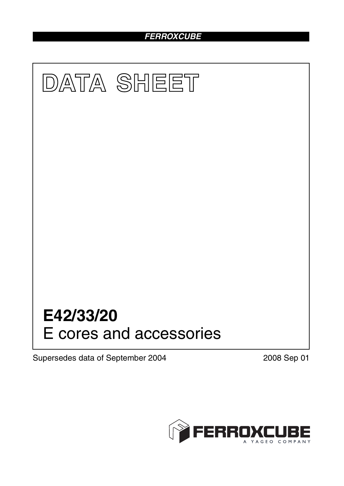# *FERROXCUBE*



Supersedes data of September 2004 2008 Sep 01

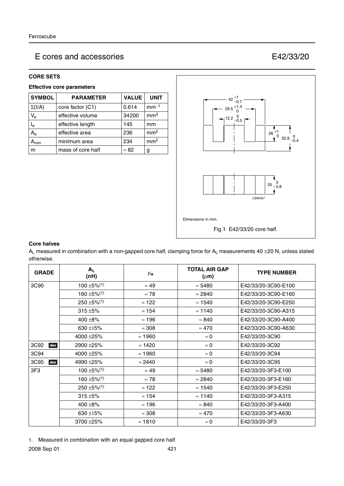# E cores and accessories E42/33/20

## **CORE SETS**

### **Effective core parameters**

| <b>SYMBOL</b>             | <b>PARAMETER</b>  | <b>VALUE</b> | <b>UNIT</b>     |
|---------------------------|-------------------|--------------|-----------------|
| $\Sigma(I/A)$             | core factor (C1)  | 0.614        | $mm-1$          |
| $V_{e}$                   | effective volume  | 34200        | mm <sup>3</sup> |
| $\mathsf{I}_{\mathsf{e}}$ | effective length  | 145          | mm              |
| $A_{e}$                   | effective area    | 236          | mm <sup>2</sup> |
| $\mathbf{a}_{\text{min}}$ | minimum area      | 234          | mm <sup>2</sup> |
| m                         | mass of core half | $\approx 82$ | g               |



## **Core halves**

 $A_L$  measured in combination with a non-gapped core half, clamping force for  $A_L$  measurements 40  $\pm$ 20 N, unless stated otherwise.

| <b>GRADE</b> | $A_{L}$<br>(nH)              | $\mu_{\mathbf{e}}$ | <b>TOTAL AIR GAP</b><br>$(\mu m)$ | <b>TYPE NUMBER</b>  |
|--------------|------------------------------|--------------------|-----------------------------------|---------------------|
| 3C90         | $100 \pm 5\%$ <sup>(1)</sup> | $\approx 49$       | $\approx 5480$                    | E42/33/20-3C90-E100 |
|              | $160 + 5\%/1)$               | $\approx 78$       | $\approx 2840$                    | E42/33/20-3C90-E160 |
|              | $250 \pm 5\%$ <sup>(1)</sup> | $\approx$ 122      | $\approx$ 1540                    | E42/33/20-3C90-E250 |
|              | $315 + 5%$                   | $\approx$ 154      | $\approx$ 1140                    | E42/33/20-3C90-A315 |
|              | 400 $\pm$ 8%                 | $\approx$ 196      | $\approx 840$                     | E42/33/20-3C90-A400 |
|              | 630 ±15%                     | $\approx$ 308      | $\approx 470$                     | E42/33/20-3C90-A630 |
|              | 4000 ±25%                    | $\approx$ 1960     | $\approx 0$                       | E42/33/20-3C90      |
| 3C92<br>des  | 2900 ± 25%                   | $\approx$ 1420     | $\approx 0$                       | E42/33/20-3C92      |
| 3C94         | 4000 ±25%                    | $\approx$ 1960     | $\approx 0$                       | E42/33/20-3C94      |
| 3C95<br>des  | 4990 ± 25%                   | $\approx 2440$     | $\approx 0$                       | E42/33/20-3C95      |
| 3F3          | $100 + 5\%/1$                | $\approx 49$       | $\approx$ 5480                    | E42/33/20-3F3-E100  |
|              | $160 \pm 5\%$ <sup>(1)</sup> | $\approx 78$       | $\approx$ 2840                    | E42/33/20-3F3-E160  |
|              | $250 \pm 5\%$ <sup>(1)</sup> | $\approx$ 122      | $\approx$ 1540                    | E42/33/20-3F3-E250  |
|              | $315 + 5%$                   | $\approx$ 154      | $\approx$ 1140                    | E42/33/20-3F3-A315  |
|              | $400 + 8\%$                  | $\approx$ 196      | $\approx 840$                     | E42/33/20-3F3-A400  |
|              | 630 ±15%                     | $\approx 308$      | $\approx 470$                     | E42/33/20-3F3-A630  |
|              | 3700 ± 25%                   | $\approx$ 1810     | $\approx 0$                       | E42/33/20-3F3       |

1. Measured in combination with an equal gapped core half.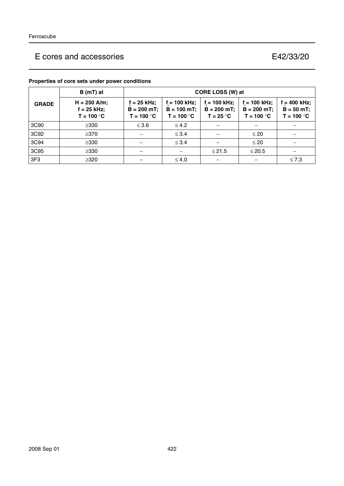# E cores and accessories E42/33/20

|              | $B(mT)$ at                                      | CORE LOSS (W) at                                                |                                                 |                                                |                                                 |                                                 |
|--------------|-------------------------------------------------|-----------------------------------------------------------------|-------------------------------------------------|------------------------------------------------|-------------------------------------------------|-------------------------------------------------|
| <b>GRADE</b> | $H = 250$ A/m;<br>$f = 25$ kHz;<br>$T = 100 °C$ | f = 25 kHz:<br>$B = 200 mT;$<br>T = 100 $^{\circ}$ C $^{\circ}$ | $f = 100$ kHz;<br>$B = 100$ mT;<br>$T = 100 °C$ | $f = 100$ kHz;<br>$B = 200$ mT;<br>$T = 25 °C$ | $f = 100$ kHz;<br>$B = 200$ mT;<br>$T = 100 °C$ | $f = 400$ kHz;<br>$B = 50 mT$ ;<br>$T = 100 °C$ |
| 3C90         | $\geq$ 330                                      | $\leq 3.6$                                                      | $\leq 4.2$                                      |                                                |                                                 |                                                 |
| 3C92         | $\geq$ 370                                      |                                                                 | $\leq$ 3.4                                      |                                                | $\leq 20$                                       |                                                 |
| 3C94         | $\geq$ 330                                      |                                                                 | $\leq$ 3.4                                      |                                                | $\leq 20$                                       |                                                 |
| 3C95         | $\geq$ 330                                      |                                                                 |                                                 | $≤ 21.5$                                       | $\leq$ 20.5                                     |                                                 |
| 3F3          | $\geq$ 320                                      |                                                                 | $\leq 4.0$                                      |                                                |                                                 | $\leq 7.3$                                      |

## **Properties of core sets under power conditions**